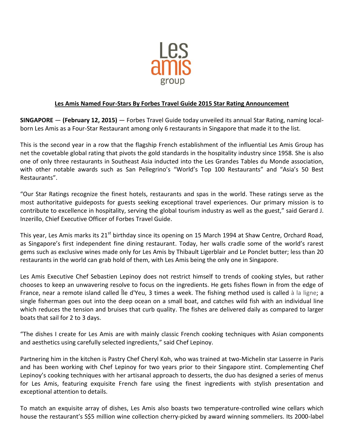

## **Les Amis Named Four-Stars By Forbes Travel Guide 2015 Star Rating Announcement**

**SINGAPORE** — **(February 12, 2015)** — Forbes Travel Guide today unveiled its annual Star Rating, naming localborn Les Amis as a Four-Star Restaurant among only 6 restaurants in Singapore that made it to the list.

This is the second year in a row that the flagship French establishment of the influential Les Amis Group has net the covetable global rating that pivots the gold standards in the hospitality industry since 1958. She is also one of only three restaurants in Southeast Asia inducted into the Les Grandes Tables du Monde association, with other notable awards such as San Pellegrino's "World's Top 100 Restaurants" and "Asia's 50 Best Restaurants".

"Our Star Ratings recognize the finest hotels, restaurants and spas in the world. These ratings serve as the most authoritative guideposts for guests seeking exceptional travel experiences. Our primary mission is to contribute to excellence in hospitality, serving the global tourism industry as well as the guest," said Gerard J. Inzerillo, Chief Executive Officer of Forbes Travel Guide.

This vear, Les Amis marks its 21<sup>st</sup> birthday since its opening on 15 March 1994 at Shaw Centre, Orchard Road, as Singapore's first independent fine dining restaurant. Today, her walls cradle some of the world's rarest gems such as exclusive wines made only for Les Amis by Thibault Ligerblair and Le Ponclet butter; less than 20 restaurants in the world can grab hold of them, with Les Amis being the only one in Singapore.

Les Amis Executive Chef Sebastien Lepinoy does not restrict himself to trends of cooking styles, but rather chooses to keep an unwavering resolve to focus on the ingredients. He gets fishes flown in from the edge of France, near a remote island called Île d'Yeu, 3 times a week. The fishing method used is called à la ligne; a single fisherman goes out into the deep ocean on a small boat, and catches wild fish with an individual line which reduces the tension and bruises that curb quality. The fishes are delivered daily as compared to larger boats that sail for 2 to 3 days.

"The dishes I create for Les Amis are with mainly classic French cooking techniques with Asian components and aesthetics using carefully selected ingredients," said Chef Lepinoy.

Partnering him in the kitchen is Pastry Chef Cheryl Koh, who was trained at two-Michelin star Lasserre in Paris and has been working with Chef Lepinoy for two years prior to their Singapore stint. Complementing Chef Lepinoy's cooking techniques with her artisanal approach to desserts, the duo has designed a series of menus for Les Amis, featuring exquisite French fare using the finest ingredients with stylish presentation and exceptional attention to details.

To match an exquisite array of dishes, Les Amis also boasts two temperature-controlled wine cellars which house the restaurant's S\$5 million wine collection cherry-picked by award winning sommeliers. Its 2000-label